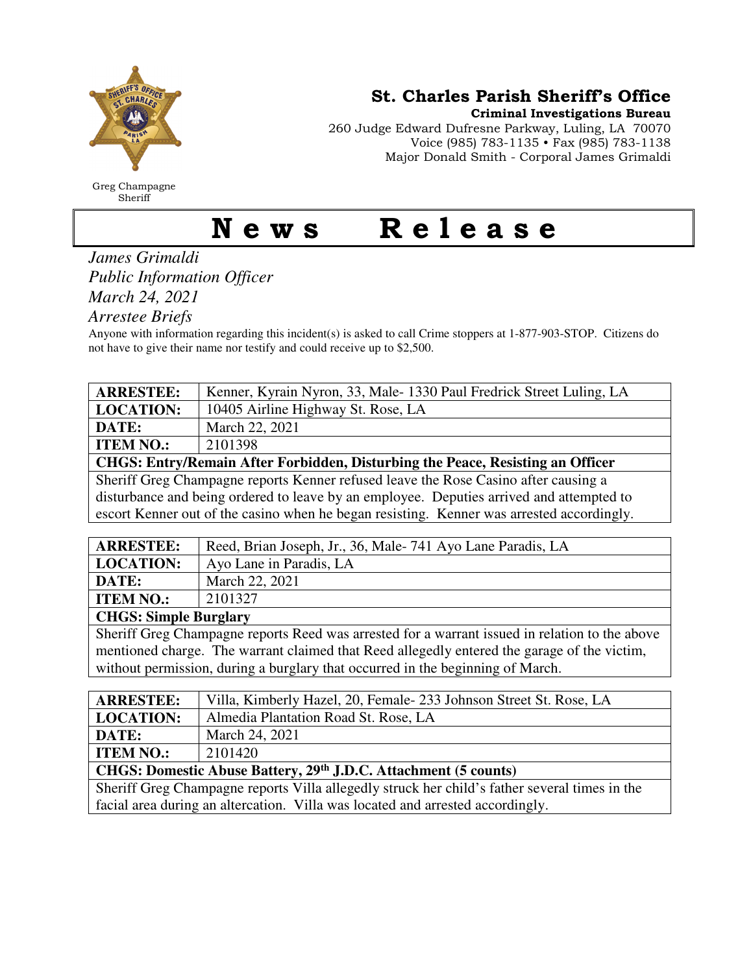

Greg Champagne Sheriff

St. Charles Parish Sheriff's Office

Criminal Investigations Bureau

260 Judge Edward Dufresne Parkway, Luling, LA 70070 Voice (985) 783-1135 • Fax (985) 783-1138 Major Donald Smith - Corporal James Grimaldi

## News Release

*James Grimaldi Public Information Officer March 24, 2021* 

*Arrestee Briefs* 

Anyone with information regarding this incident(s) is asked to call Crime stoppers at 1-877-903-STOP. Citizens do not have to give their name nor testify and could receive up to \$2,500.

| <b>ARRESTEE:</b>                                                                    | Kenner, Kyrain Nyron, 33, Male-1330 Paul Fredrick Street Luling, LA |  |
|-------------------------------------------------------------------------------------|---------------------------------------------------------------------|--|
| <b>LOCATION:</b>                                                                    | 10405 Airline Highway St. Rose, LA                                  |  |
| DATE:                                                                               | March 22, 2021                                                      |  |
| <b>ITEM NO.:</b>                                                                    | 2101398                                                             |  |
| CHGS: Entry/Remain After Forbidden, Disturbing the Peace, Resisting an Officer      |                                                                     |  |
| Sheriff Greg Champagne reports Kenner refused leave the Rose Casino after causing a |                                                                     |  |
|                                                                                     |                                                                     |  |

disturbance and being ordered to leave by an employee. Deputies arrived and attempted to escort Kenner out of the casino when he began resisting. Kenner was arrested accordingly.

| <b>ARRESTEE:</b>             | Reed, Brian Joseph, Jr., 36, Male-741 Ayo Lane Paradis, LA |
|------------------------------|------------------------------------------------------------|
| <b>LOCATION:</b>             | Ayo Lane in Paradis, LA                                    |
| DATE:                        | March 22, 2021                                             |
| <b>ITEM NO.:</b>             | 2101327                                                    |
| <b>CHGS: Simple Burglary</b> |                                                            |

Sheriff Greg Champagne reports Reed was arrested for a warrant issued in relation to the above mentioned charge. The warrant claimed that Reed allegedly entered the garage of the victim, without permission, during a burglary that occurred in the beginning of March.

| <b>ARRESTEE:</b>                                                                              | Villa, Kimberly Hazel, 20, Female - 233 Johnson Street St. Rose, LA |  |
|-----------------------------------------------------------------------------------------------|---------------------------------------------------------------------|--|
| <b>LOCATION:</b>                                                                              | Almedia Plantation Road St. Rose, LA                                |  |
| DATE:                                                                                         | March 24, 2021                                                      |  |
| <b>ITEM NO.:</b>                                                                              | 2101420                                                             |  |
| CHGS: Domestic Abuse Battery, 29th J.D.C. Attachment (5 counts)                               |                                                                     |  |
| Sheriff Greg Champagne reports Villa allegedly struck her child's father several times in the |                                                                     |  |
| facial area during an altercation. Villa was located and arrested accordingly.                |                                                                     |  |